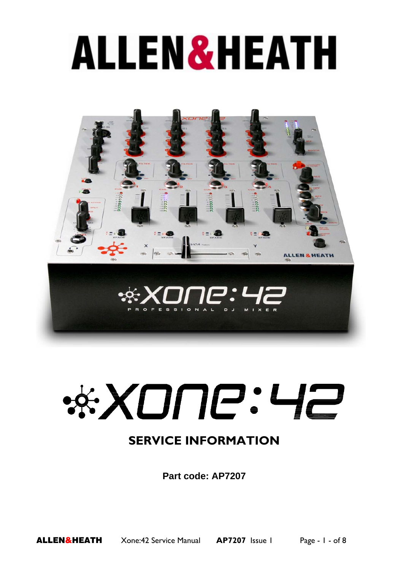# **ALLEN&HEATH**





## **SERVICE INFORMATION**

**Part code: AP7207**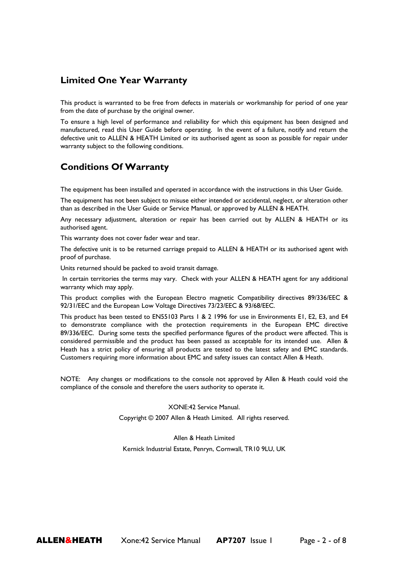#### **Limited One Year Warranty**

This product is warranted to be free from defects in materials or workmanship for period of one year from the date of purchase by the original owner.

To ensure a high level of performance and reliability for which this equipment has been designed and manufactured, read this User Guide before operating. In the event of a failure, notify and return the defective unit to ALLEN & HEATH Limited or its authorised agent as soon as possible for repair under warranty subject to the following conditions.

### **Conditions Of Warranty**

The equipment has been installed and operated in accordance with the instructions in this User Guide.

The equipment has not been subject to misuse either intended or accidental, neglect, or alteration other than as described in the User Guide or Service Manual, or approved by ALLEN & HEATH.

Any necessary adjustment, alteration or repair has been carried out by ALLEN & HEATH or its authorised agent.

This warranty does not cover fader wear and tear.

The defective unit is to be returned carriage prepaid to ALLEN & HEATH or its authorised agent with proof of purchase.

Units returned should be packed to avoid transit damage.

In certain territories the terms may vary. Check with your ALLEN & HEATH agent for any additional warranty which may apply.

This product complies with the European Electro magnetic Compatibility directives 89/336/EEC & 92/31/EEC and the European Low Voltage Directives 73/23/EEC & 93/68/EEC.

This product has been tested to EN55103 Parts 1 & 2 1996 for use in Environments E1, E2, E3, and E4 to demonstrate compliance with the protection requirements in the European EMC directive 89/336/EEC. During some tests the specified performance figures of the product were affected. This is considered permissible and the product has been passed as acceptable for its intended use. Allen & Heath has a strict policy of ensuring all products are tested to the latest safety and EMC standards. Customers requiring more information about EMC and safety issues can contact Allen & Heath.

NOTE: Any changes or modifications to the console not approved by Allen & Heath could void the compliance of the console and therefore the users authority to operate it.

XONE:42 Service Manual.

Copyright © 2007 Allen & Heath Limited. All rights reserved.

Allen & Heath Limited Kernick Industrial Estate, Penryn, Cornwall, TR10 9LU, UK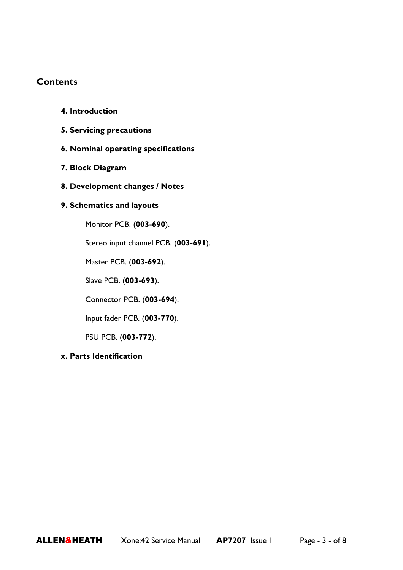### **Contents**

| 4. Introduction |
|-----------------|
|-----------------|

- **5. Servicing precautions**
- **6. Nominal operating specifications**
- **7. Block Diagram**
- **8. Development changes / Notes**

#### **9. Schematics and layouts**

Monitor PCB. (**003-690**).

Stereo input channel PCB. (**003-691**).

Master PCB. (**003-692**).

Slave PCB. (**003-693**).

Connector PCB. (**003-694**).

Input fader PCB. (**003-770**).

PSU PCB. (**003-772**).

#### **x. Parts Identification**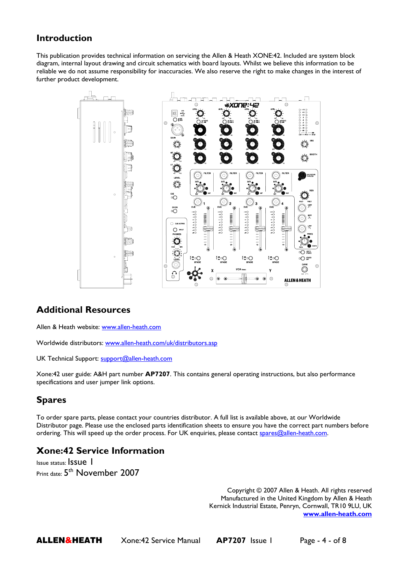## **Introduction**

This publication provides technical information on servicing the Allen & Heath XONE:42. Included are system block diagram, internal layout drawing and circuit schematics with board layouts. Whilst we believe this information to be reliable we do not assume responsibility for inaccuracies. We also reserve the right to make changes in the interest of further product development.



#### **Additional Resources**

Allen & Heath website: www.allen-heath.com

Worldwide distributors: www.allen-heath.com/uk/distributors.asp

UK Technical Support: support@allen-heath.com

Xone:42 user guide: A&H part number **AP7207**. This contains general operating instructions, but also performance specifications and user jumper link options.

## **Spares**

To order spare parts, please contact your countries distributor. A full list is available above, at our Worldwide Distributor page. Please use the enclosed parts identification sheets to ensure you have the correct part numbers before ordering. This will speed up the order process. For UK enquiries, please contact spares@allen-heath.com.

## **Xone:42 Service Information**

Issue status: Issue 1 Print date:  $5<sup>th</sup>$  November 2007

> Copyright © 2007 Allen & Heath. All rights reserved Manufactured in the United Kingdom by Allen & Heath Kernick Industrial Estate, Penryn, Cornwall, TR10 9LU, UK **www.allen-heath.com**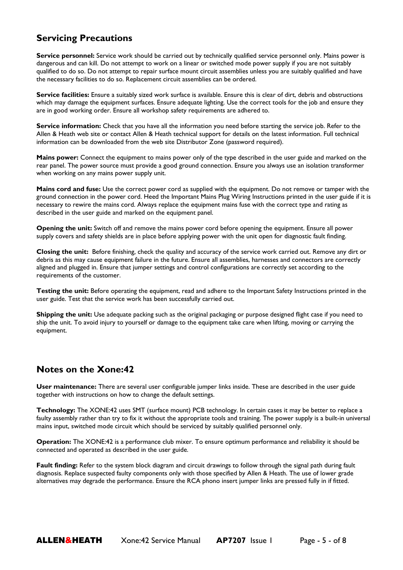## **Servicing Precautions**

**Service personnel:** Service work should be carried out by technically qualified service personnel only. Mains power is dangerous and can kill. Do not attempt to work on a linear or switched mode power supply if you are not suitably qualified to do so. Do not attempt to repair surface mount circuit assemblies unless you are suitably qualified and have the necessary facilities to do so. Replacement circuit assemblies can be ordered.

**Service facilities:** Ensure a suitably sized work surface is available. Ensure this is clear of dirt, debris and obstructions which may damage the equipment surfaces. Ensure adequate lighting. Use the correct tools for the job and ensure they are in good working order. Ensure all workshop safety requirements are adhered to.

**Service information:** Check that you have all the information you need before starting the service job. Refer to the Allen & Heath web site or contact Allen & Heath technical support for details on the latest information. Full technical information can be downloaded from the web site Distributor Zone (password required).

**Mains power:** Connect the equipment to mains power only of the type described in the user guide and marked on the rear panel. The power source must provide a good ground connection. Ensure you always use an isolation transformer when working on any mains power supply unit.

**Mains cord and fuse:** Use the correct power cord as supplied with the equipment. Do not remove or tamper with the ground connection in the power cord. Heed the Important Mains Plug Wiring Instructions printed in the user guide if it is necessary to rewire the mains cord. Always replace the equipment mains fuse with the correct type and rating as described in the user guide and marked on the equipment panel.

**Opening the unit:** Switch off and remove the mains power cord before opening the equipment. Ensure all power supply covers and safety shields are in place before applying power with the unit open for diagnostic fault finding.

**Closing the unit:** Before finishing, check the quality and accuracy of the service work carried out. Remove any dirt or debris as this may cause equipment failure in the future. Ensure all assemblies, harnesses and connectors are correctly aligned and plugged in. Ensure that jumper settings and control configurations are correctly set according to the requirements of the customer.

**Testing the unit:** Before operating the equipment, read and adhere to the Important Safety Instructions printed in the user guide. Test that the service work has been successfully carried out.

**Shipping the unit:** Use adequate packing such as the original packaging or purpose designed flight case if you need to ship the unit. To avoid injury to yourself or damage to the equipment take care when lifting, moving or carrying the equipment.

#### **Notes on the Xone:42**

**User maintenance:** There are several user configurable jumper links inside. These are described in the user guide together with instructions on how to change the default settings.

**Technology:** The XONE:42 uses SMT (surface mount) PCB technology. In certain cases it may be better to replace a faulty assembly rather than try to fix it without the appropriate tools and training. The power supply is a built-in universal mains input, switched mode circuit which should be serviced by suitably qualified personnel only.

**Operation:** The XONE:42 is a performance club mixer. To ensure optimum performance and reliability it should be connected and operated as described in the user guide.

**Fault finding:** Refer to the system block diagram and circuit drawings to follow through the signal path during fault diagnosis. Replace suspected faulty components only with those specified by Allen & Heath. The use of lower grade alternatives may degrade the performance. Ensure the RCA phono insert jumper links are pressed fully in if fitted.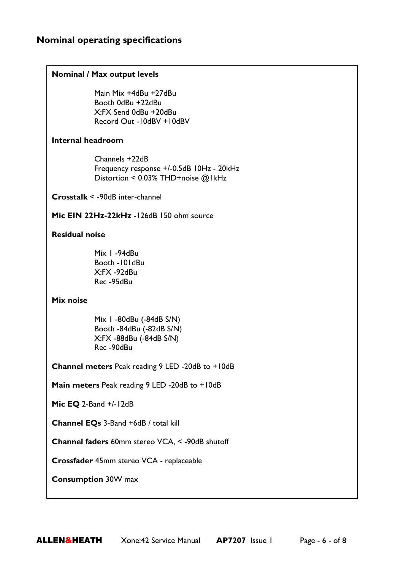#### **Nominal operating specifications**

#### **Nominal / Max output levels**

Main Mix +4dBu +27dBu Booth 0dBu +22dBu X:FX Send 0dBu +20dBu Record Out -10dBV +10dBV

#### **Internal headroom**

Channels +22dB Frequency response +/-0.5dB 10Hz - 20kHz Distortion < 0.03% THD+noise @1kHz

**Crosstalk** < -90dB inter-channel

Mic EIN 22Hz-22kHz -126dB 150 ohm source

#### **Residual noise**

Mix 1 -94dBu Booth -101dBu X:FX -92dBu Rec -95dBu

**Mix noise** 

Mix 1 -80dBu (-84dB S/N) Booth -84dBu (-82dB S/N) X:FX -88dBu (-84dB S/N) Rec -90dBu

**Channel meters** Peak reading 9 LED -20dB to +10dB

**Main meters** Peak reading 9 LED -20dB to +10dB

**Mic EQ** 2-Band +/-12dB

**Channel EQs** 3-Band +6dB / total kill

**Channel faders** 60mm stereo VCA, < -90dB shutoff

**Crossfader** 45mm stereo VCA - replaceable

**Consumption** 30W max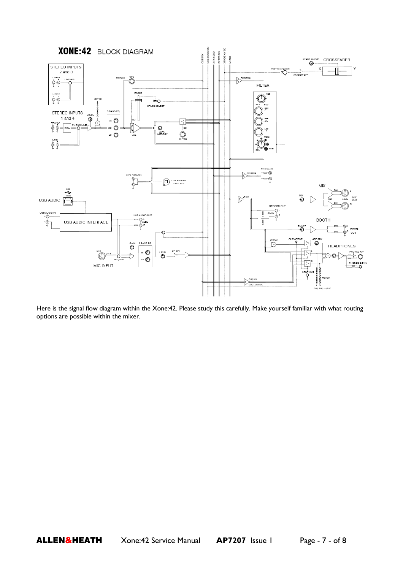

Here is the signal flow diagram within the Xone:42. Please study this carefully. Make yourself familiar with what routing options are possible within the mixer.